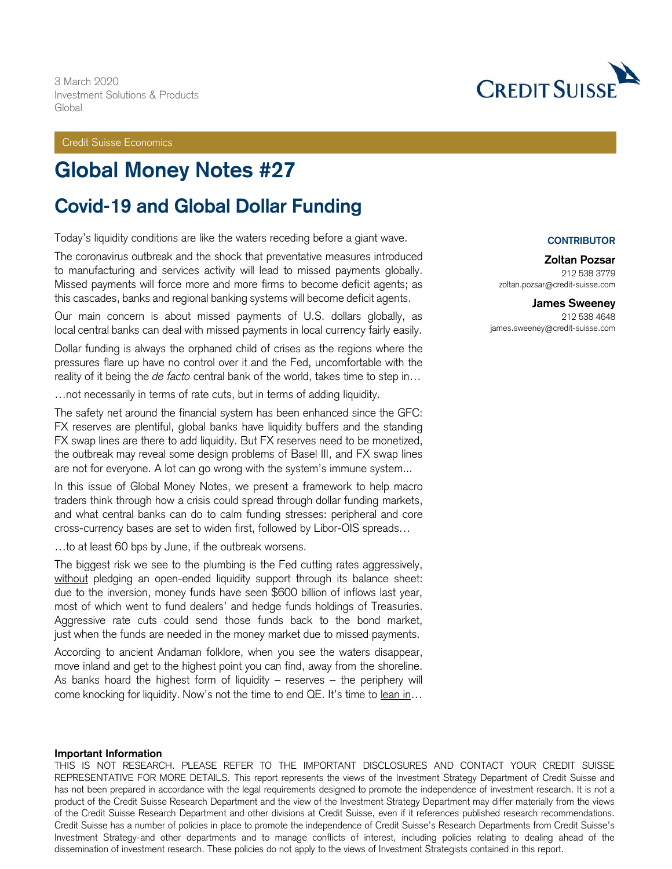3 March 2020 Investment Solutions & Products Global

Credit Suisse Economics

# **Global Money Notes #27**

# **Covid-19 and Global Dollar Funding**

Today's liquidity conditions are like the waters receding before a giant wave.

The coronavirus outbreak and the shock that preventative measures introduced to manufacturing and services activity will lead to missed payments globally. Missed payments will force more and more firms to become deficit agents; as this cascades, banks and regional banking systems will become deficit agents.

Our main concern is about missed payments of U.S. dollars globally, as local central banks can deal with missed payments in local currency fairly easily.

Dollar funding is always the orphaned child of crises as the regions where the pressures flare up have no control over it and the Fed, uncomfortable with the reality of it being the *de facto* central bank of the world, takes time to step in…

…not necessarily in terms of rate cuts, but in terms of adding liquidity.

The safety net around the financial system has been enhanced since the GFC: FX reserves are plentiful, global banks have liquidity buffers and the standing FX swap lines are there to add liquidity. But FX reserves need to be monetized, the outbreak may reveal some design problems of Basel III, and FX swap lines are not for everyone. A lot can go wrong with the system's immune system...

In this issue of Global Money Notes, we present a framework to help macro traders think through how a crisis could spread through dollar funding markets, and what central banks can do to calm funding stresses: peripheral and core cross-currency bases are set to widen first, followed by Libor-OIS spreads…

…to at least 60 bps by June, if the outbreak worsens.

The biggest risk we see to the plumbing is the Fed cutting rates aggressively, without pledging an open-ended liquidity support through its balance sheet: due to the inversion, money funds have seen \$600 billion of inflows last year, most of which went to fund dealers' and hedge funds holdings of Treasuries. Aggressive rate cuts could send those funds back to the bond market, just when the funds are needed in the money market due to missed payments.

According to ancient Andaman folklore, when you see the waters disappear, move inland and get to the highest point you can find, away from the shoreline. As banks hoard the highest form of liquidity – reserves – the periphery will come knocking for liquidity. Now's not the time to end QE. It's time to lean in…

### **CONTRIBUTOR**

**Zoltan Pozsar** 212 538 3779 zoltan.pozsar@credit-suisse.com

**James Sweeney** 212 538 4648 james.sweeney@credit-suisse.com

#### **Important Information**

THIS IS NOT RESEARCH. PLEASE REFER TO THE IMPORTANT DISCLOSURES AND CONTACT YOUR CREDIT SUISSE REPRESENTATIVE FOR MORE DETAILS. This report represents the views of the Investment Strategy Department of Credit Suisse and has not been prepared in accordance with the legal requirements designed to promote the independence of investment research. It is not a product of the Credit Suisse Research Department and the view of the Investment Strategy Department may differ materially from the views of the Credit Suisse Research Department and other divisions at Credit Suisse, even if it references published research recommendations. Credit Suisse has a number of policies in place to promote the independence of Credit Suisse's Research Departments from Credit Suisse's Investment Strategy-and other departments and to manage conflicts of interest, including policies relating to dealing ahead of the dissemination of investment research. These policies do not apply to the views of Investment Strategists contained in this report.

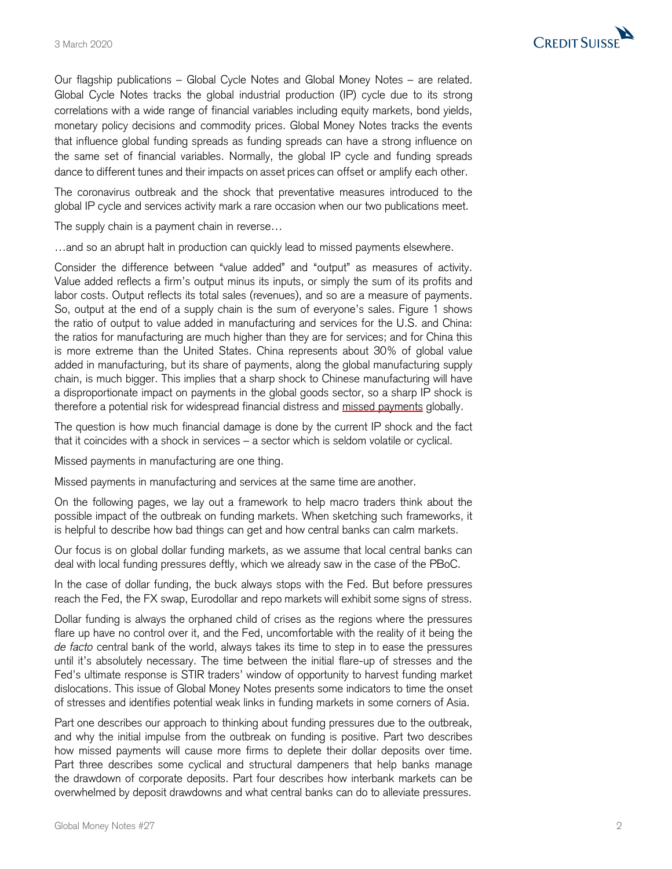

Our flagship publications – Global Cycle Notes and Global Money Notes – are related. Global Cycle Notes tracks the global industrial production (IP) cycle due to its strong correlations with a wide range of financial variables including equity markets, bond yields, monetary policy decisions and commodity prices. Global Money Notes tracks the events that influence global funding spreads as funding spreads can have a strong influence on the same set of financial variables. Normally, the global IP cycle and funding spreads dance to different tunes and their impacts on asset prices can offset or amplify each other.

The coronavirus outbreak and the shock that preventative measures introduced to the global IP cycle and services activity mark a rare occasion when our two publications meet.

The supply chain is a payment chain in reverse…

…and so an abrupt halt in production can quickly lead to missed payments elsewhere.

Consider the difference between "value added" and "output" as measures of activity. Value added reflects a firm's output minus its inputs, or simply the sum of its profits and labor costs. Output reflects its total sales (revenues), and so are a measure of payments. So, output at the end of a supply chain is the sum of everyone's sales. Figure 1 shows the ratio of output to value added in manufacturing and services for the U.S. and China: the ratios for manufacturing are much higher than they are for services; and for China this is more extreme than the United States. China represents about 30% of global value added in manufacturing, but its share of payments, along the global manufacturing supply chain, is much bigger. This implies that a sharp shock to Chinese manufacturing will have a disproportionate impact on payments in the global goods sector, so a sharp IP shock is therefore a potential risk for widespread financial distress and missed payments globally.

The question is how much financial damage is done by the current IP shock and the fact that it coincides with a shock in services – a sector which is seldom volatile or cyclical.

Missed payments in manufacturing are one thing.

Missed payments in manufacturing and services at the same time are another.

On the following pages, we lay out a framework to help macro traders think about the possible impact of the outbreak on funding markets. When sketching such frameworks, it is helpful to describe how bad things can get and how central banks can calm markets.

Our focus is on global dollar funding markets, as we assume that local central banks can deal with local funding pressures deftly, which we already saw in the case of the PBoC.

In the case of dollar funding, the buck always stops with the Fed. But before pressures reach the Fed, the FX swap, Eurodollar and repo markets will exhibit some signs of stress.

Dollar funding is always the orphaned child of crises as the regions where the pressures flare up have no control over it, and the Fed, uncomfortable with the reality of it being the *de facto* central bank of the world, always takes its time to step in to ease the pressures until it's absolutely necessary. The time between the initial flare-up of stresses and the Fed's ultimate response is STIR traders' window of opportunity to harvest funding market dislocations. This issue of Global Money Notes presents some indicators to time the onset of stresses and identifies potential weak links in funding markets in some corners of Asia.

Part one describes our approach to thinking about funding pressures due to the outbreak, and why the initial impulse from the outbreak on funding is positive. Part two describes how missed payments will cause more firms to deplete their dollar deposits over time. Part three describes some cyclical and structural dampeners that help banks manage the drawdown of corporate deposits. Part four describes how interbank markets can be overwhelmed by deposit drawdowns and what central banks can do to alleviate pressures.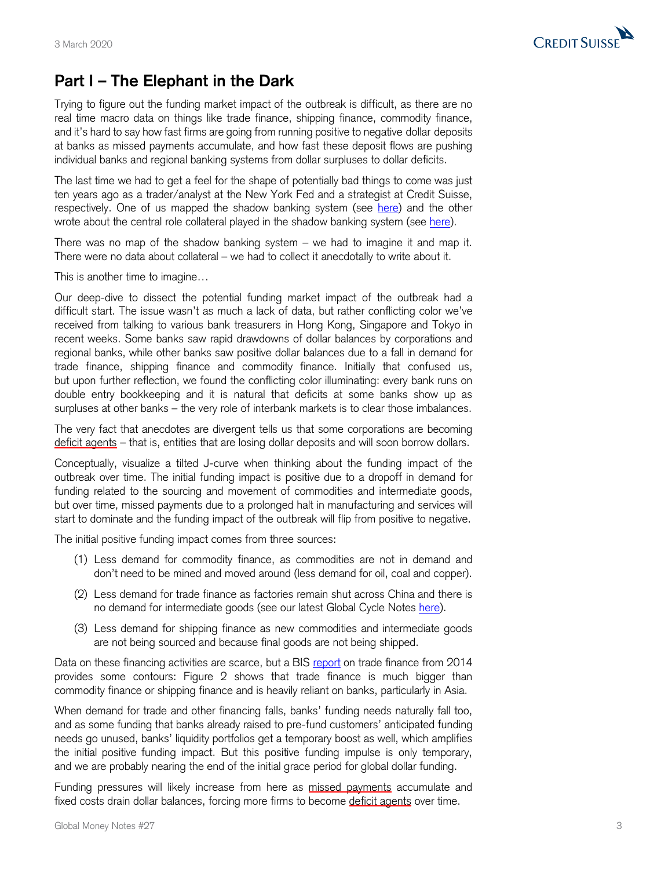

# **Part I – The Elephant in the Dark**

Trying to figure out the funding market impact of the outbreak is difficult, as there are no real time macro data on things like trade finance, shipping finance, commodity finance, and it's hard to say how fast firms are going from running positive to negative dollar deposits at banks as missed payments accumulate, and how fast these deposit flows are pushing individual banks and regional banking systems from dollar surpluses to dollar deficits.

The last time we had to get a feel for the shape of potentially bad things to come was just ten years ago as a trader/analyst at the New York Fed and a strategist at Credit Suisse, respectively. One of us mapped the shadow banking system (see [here\)](https://www.newyorkfed.org/medialibrary/media/research/staff_reports/sr458.pdf) and the other wrote about the central role collateral played in the shadow banking system (see [here\)](https://plus.credit-suisse.com/rpc4/ravDocView?docid=F3ARb1).

There was no map of the shadow banking system – we had to imagine it and map it. There were no data about collateral – we had to collect it anecdotally to write about it.

This is another time to imagine…

Our deep-dive to dissect the potential funding market impact of the outbreak had a difficult start. The issue wasn't as much a lack of data, but rather conflicting color we've received from talking to various bank treasurers in Hong Kong, Singapore and Tokyo in recent weeks. Some banks saw rapid drawdowns of dollar balances by corporations and regional banks, while other banks saw positive dollar balances due to a fall in demand for trade finance, shipping finance and commodity finance. Initially that confused us, but upon further reflection, we found the conflicting color illuminating: every bank runs on double entry bookkeeping and it is natural that deficits at some banks show up as surpluses at other banks – the very role of interbank markets is to clear those imbalances.

The very fact that anecdotes are divergent tells us that some corporations are becoming deficit agents – that is, entities that are losing dollar deposits and will soon borrow dollars.

Conceptually, visualize a tilted J-curve when thinking about the funding impact of the outbreak over time. The initial funding impact is positive due to a dropoff in demand for funding related to the sourcing and movement of commodities and intermediate goods, but over time, missed payments due to a prolonged halt in manufacturing and services will start to dominate and the funding impact of the outbreak will flip from positive to negative.

The initial positive funding impact comes from three sources:

- (1) Less demand for commodity finance, as commodities are not in demand and don't need to be mined and moved around (less demand for oil, coal and copper).
- (2) Less demand for trade finance as factories remain shut across China and there is no demand for intermediate goods (see our latest Global Cycle Notes [here\)](https://plus.credit-suisse.com/rpc4/ravDocView?docid=V7k5jF2AC-WEqAJ7).
- (3) Less demand for shipping finance as new commodities and intermediate goods are not being sourced and because final goods are not being shipped.

Data on these financing activities are scarce, but a BIS [report](https://www.bis.org/publ/cgfs50.pdf) on trade finance from 2014 provides some contours: Figure 2 shows that trade finance is much bigger than commodity finance or shipping finance and is heavily reliant on banks, particularly in Asia.

When demand for trade and other financing falls, banks' funding needs naturally fall too, and as some funding that banks already raised to pre-fund customers' anticipated funding needs go unused, banks' liquidity portfolios get a temporary boost as well, which amplifies the initial positive funding impact. But this positive funding impulse is only temporary, and we are probably nearing the end of the initial grace period for global dollar funding.

Funding pressures will likely increase from here as missed payments accumulate and fixed costs drain dollar balances, forcing more firms to become deficit agents over time.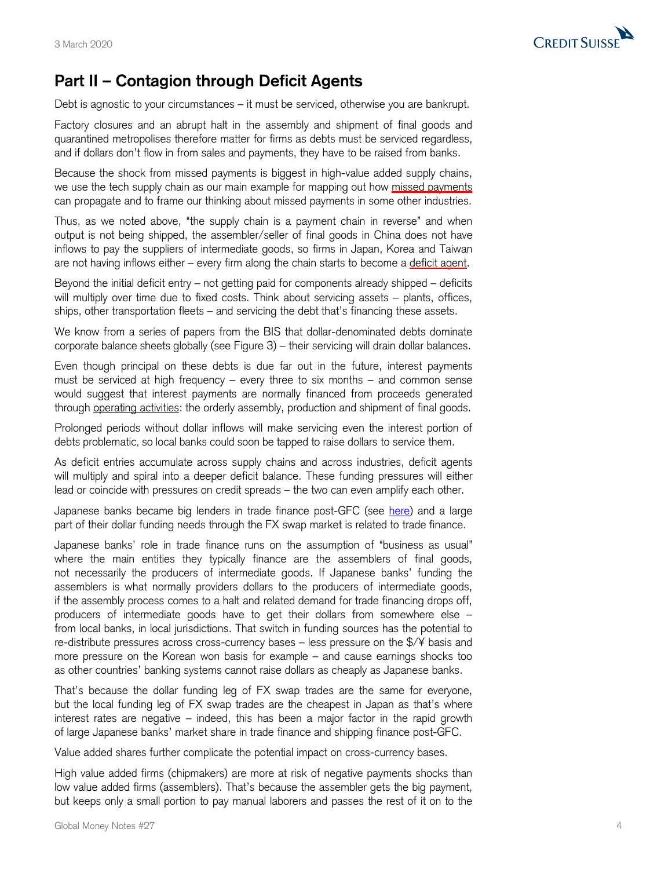

# **Part II – Contagion through Deficit Agents**

Debt is agnostic to your circumstances – it must be serviced, otherwise you are bankrupt.

Factory closures and an abrupt halt in the assembly and shipment of final goods and quarantined metropolises therefore matter for firms as debts must be serviced regardless, and if dollars don't flow in from sales and payments, they have to be raised from banks.

Because the shock from missed payments is biggest in high-value added supply chains, we use the tech supply chain as our main example for mapping out how missed payments can propagate and to frame our thinking about missed payments in some other industries.

Thus, as we noted above, "the supply chain is a payment chain in reverse" and when output is not being shipped, the assembler/seller of final goods in China does not have inflows to pay the suppliers of intermediate goods, so firms in Japan, Korea and Taiwan are not having inflows either – every firm along the chain starts to become a deficit agent.

Beyond the initial deficit entry – not getting paid for components already shipped – deficits will multiply over time due to fixed costs. Think about servicing assets – plants, offices, ships, other transportation fleets – and servicing the debt that's financing these assets.

We know from a series of papers from the BIS that dollar-denominated debts dominate corporate balance sheets globally (see Figure 3) – their servicing will drain dollar balances.

Even though principal on these debts is due far out in the future, interest payments must be serviced at high frequency – every three to six months – and common sense would suggest that interest payments are normally financed from proceeds generated through operating activities: the orderly assembly, production and shipment of final goods.

Prolonged periods without dollar inflows will make servicing even the interest portion of debts problematic, so local banks could soon be tapped to raise dollars to service them.

As deficit entries accumulate across supply chains and across industries, deficit agents will multiply and spiral into a deeper deficit balance. These funding pressures will either lead or coincide with pressures on credit spreads – the two can even amplify each other.

Japanese banks became big lenders in trade finance post-GFC (see [here\)](https://www.bis.org/publ/cgfs60.pdf) and a large part of their dollar funding needs through the FX swap market is related to trade finance.

Japanese banks' role in trade finance runs on the assumption of "business as usual" where the main entities they typically finance are the assemblers of final goods, not necessarily the producers of intermediate goods. If Japanese banks' funding the assemblers is what normally providers dollars to the producers of intermediate goods, if the assembly process comes to a halt and related demand for trade financing drops off, producers of intermediate goods have to get their dollars from somewhere else – from local banks, in local jurisdictions. That switch in funding sources has the potential to re-distribute pressures across cross-currency bases – less pressure on the \$/¥ basis and more pressure on the Korean won basis for example – and cause earnings shocks too as other countries' banking systems cannot raise dollars as cheaply as Japanese banks.

That's because the dollar funding leg of FX swap trades are the same for everyone, but the local funding leg of FX swap trades are the cheapest in Japan as that's where interest rates are negative – indeed, this has been a major factor in the rapid growth of large Japanese banks' market share in trade finance and shipping finance post-GFC.

Value added shares further complicate the potential impact on cross-currency bases.

High value added firms (chipmakers) are more at risk of negative payments shocks than low value added firms (assemblers). That's because the assembler gets the big payment, but keeps only a small portion to pay manual laborers and passes the rest of it on to the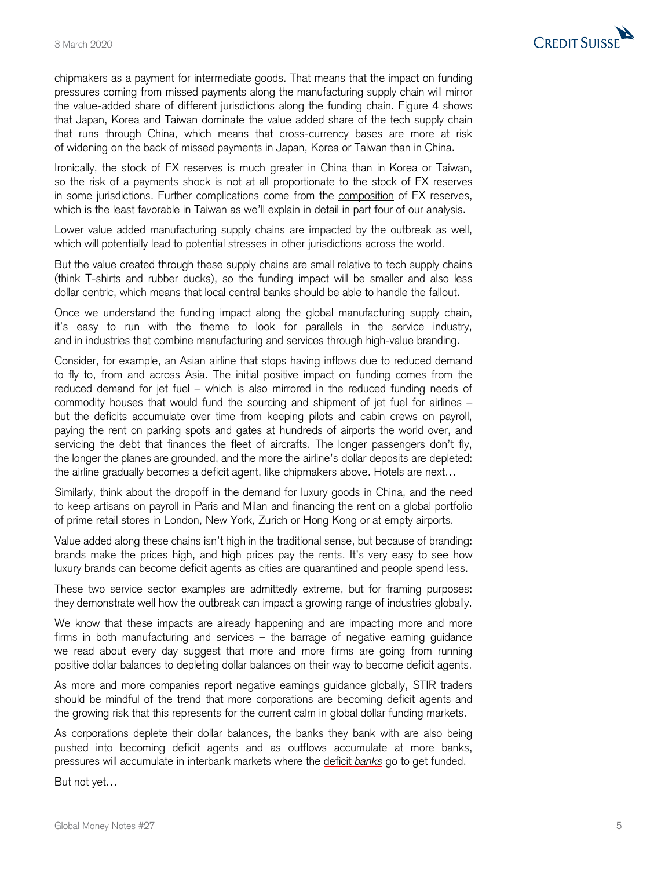

chipmakers as a payment for intermediate goods. That means that the impact on funding pressures coming from missed payments along the manufacturing supply chain will mirror the value-added share of different jurisdictions along the funding chain. Figure 4 shows that Japan, Korea and Taiwan dominate the value added share of the tech supply chain that runs through China, which means that cross-currency bases are more at risk of widening on the back of missed payments in Japan, Korea or Taiwan than in China.

Ironically, the stock of FX reserves is much greater in China than in Korea or Taiwan, so the risk of a payments shock is not at all proportionate to the stock of FX reserves in some jurisdictions. Further complications come from the composition of FX reserves, which is the least favorable in Taiwan as we'll explain in detail in part four of our analysis.

Lower value added manufacturing supply chains are impacted by the outbreak as well, which will potentially lead to potential stresses in other jurisdictions across the world.

But the value created through these supply chains are small relative to tech supply chains (think T-shirts and rubber ducks), so the funding impact will be smaller and also less dollar centric, which means that local central banks should be able to handle the fallout.

Once we understand the funding impact along the global manufacturing supply chain, it's easy to run with the theme to look for parallels in the service industry, and in industries that combine manufacturing and services through high-value branding.

Consider, for example, an Asian airline that stops having inflows due to reduced demand to fly to, from and across Asia. The initial positive impact on funding comes from the reduced demand for jet fuel – which is also mirrored in the reduced funding needs of commodity houses that would fund the sourcing and shipment of jet fuel for airlines – but the deficits accumulate over time from keeping pilots and cabin crews on payroll, paying the rent on parking spots and gates at hundreds of airports the world over, and servicing the debt that finances the fleet of aircrafts. The longer passengers don't fly, the longer the planes are grounded, and the more the airline's dollar deposits are depleted: the airline gradually becomes a deficit agent, like chipmakers above. Hotels are next…

Similarly, think about the dropoff in the demand for luxury goods in China, and the need to keep artisans on payroll in Paris and Milan and financing the rent on a global portfolio of prime retail stores in London, New York, Zurich or Hong Kong or at empty airports.

Value added along these chains isn't high in the traditional sense, but because of branding: brands make the prices high, and high prices pay the rents. It's very easy to see how luxury brands can become deficit agents as cities are quarantined and people spend less.

These two service sector examples are admittedly extreme, but for framing purposes: they demonstrate well how the outbreak can impact a growing range of industries globally.

We know that these impacts are already happening and are impacting more and more firms in both manufacturing and services – the barrage of negative earning guidance we read about every day suggest that more and more firms are going from running positive dollar balances to depleting dollar balances on their way to become deficit agents.

As more and more companies report negative earnings guidance globally, STIR traders should be mindful of the trend that more corporations are becoming deficit agents and the growing risk that this represents for the current calm in global dollar funding markets.

As corporations deplete their dollar balances, the banks they bank with are also being pushed into becoming deficit agents and as outflows accumulate at more banks, pressures will accumulate in interbank markets where the deficit *banks* go to get funded.

But not yet…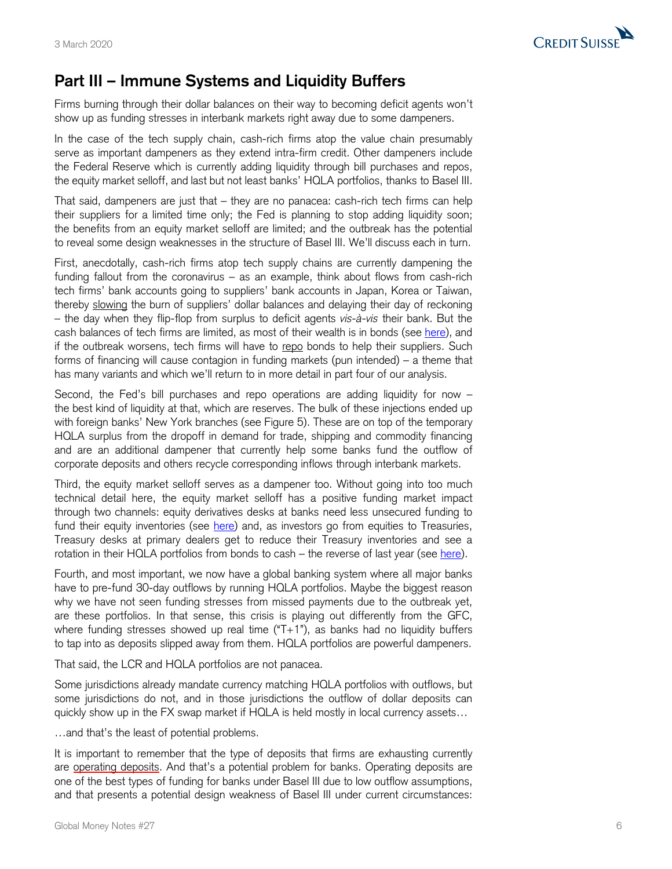

# **Part III – Immune Systems and Liquidity Buffers**

Firms burning through their dollar balances on their way to becoming deficit agents won't show up as funding stresses in interbank markets right away due to some dampeners.

In the case of the tech supply chain, cash-rich firms atop the value chain presumably serve as important dampeners as they extend intra-firm credit. Other dampeners include the Federal Reserve which is currently adding liquidity through bill purchases and repos, the equity market selloff, and last but not least banks' HQLA portfolios, thanks to Basel III.

That said, dampeners are just that – they are no panacea: cash-rich tech firms can help their suppliers for a limited time only; the Fed is planning to stop adding liquidity soon; the benefits from an equity market selloff are limited; and the outbreak has the potential to reveal some design weaknesses in the structure of Basel III. We'll discuss each in turn.

First, anecdotally, cash-rich firms atop tech supply chains are currently dampening the funding fallout from the coronavirus – as an example, think about flows from cash-rich tech firms' bank accounts going to suppliers' bank accounts in Japan, Korea or Taiwan, thereby slowing the burn of suppliers' dollar balances and delaying their day of reckoning – the day when they flip-flop from surplus to deficit agents *vis-à-vis* their bank. But the cash balances of tech firms are limited, as most of their wealth is in bonds (see [here\)](https://plus.credit-suisse.com/rpc4/ravDocView?docid=V7bFUL2AD-WEpBrM), and if the outbreak worsens, tech firms will have to repo bonds to help their suppliers. Such forms of financing will cause contagion in funding markets (pun intended) – a theme that has many variants and which we'll return to in more detail in part four of our analysis.

Second, the Fed's bill purchases and repo operations are adding liquidity for now – the best kind of liquidity at that, which are reserves. The bulk of these injections ended up with foreign banks' New York branches (see Figure 5). These are on top of the temporary HQLA surplus from the dropoff in demand for trade, shipping and commodity financing and are an additional dampener that currently help some banks fund the outflow of corporate deposits and others recycle corresponding inflows through interbank markets.

Third, the equity market selloff serves as a dampener too. Without going into too much technical detail here, the equity market selloff has a positive funding market impact through two channels: equity derivatives desks at banks need less unsecured funding to fund their equity inventories (see [here\)](https://plus.credit-suisse.com/rpc4/ravDocView?docid=V7c62M2AC-WErHg6) and, as investors go from equities to Treasuries, Treasury desks at primary dealers get to reduce their Treasury inventories and see a rotation in their HQLA portfolios from bonds to cash – the reverse of last year (see [here\)](https://plus.credit-suisse.com/rpc4/ravDocView?docid=V7iZsF2AN-XtNl).

Fourth, and most important, we now have a global banking system where all major banks have to pre-fund 30-day outflows by running HQLA portfolios. Maybe the biggest reason why we have not seen funding stresses from missed payments due to the outbreak yet, are these portfolios. In that sense, this crisis is playing out differently from the GFC, where funding stresses showed up real time  $("T+1")$ , as banks had no liquidity buffers to tap into as deposits slipped away from them. HQLA portfolios are powerful dampeners.

That said, the LCR and HQLA portfolios are not panacea.

Some jurisdictions already mandate currency matching HQLA portfolios with outflows, but some jurisdictions do not, and in those jurisdictions the outflow of dollar deposits can quickly show up in the FX swap market if HQLA is held mostly in local currency assets…

…and that's the least of potential problems.

It is important to remember that the type of deposits that firms are exhausting currently are operating deposits. And that's a potential problem for banks. Operating deposits are one of the best types of funding for banks under Basel III due to low outflow assumptions, and that presents a potential design weakness of Basel III under current circumstances: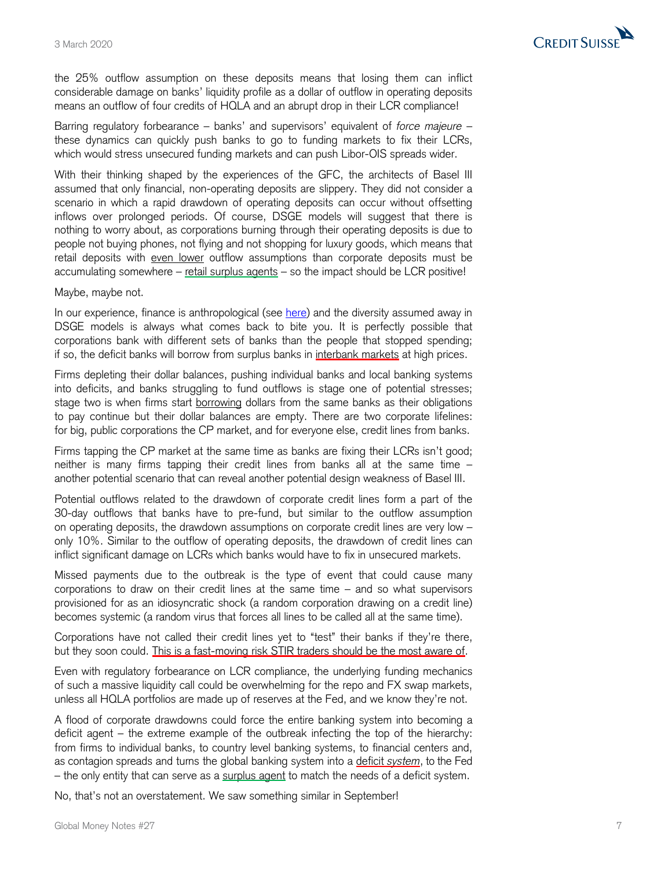

the 25% outflow assumption on these deposits means that losing them can inflict considerable damage on banks' liquidity profile as a dollar of outflow in operating deposits means an outflow of four credits of HQLA and an abrupt drop in their LCR compliance!

Barring regulatory forbearance – banks' and supervisors' equivalent of *force majeure* – these dynamics can quickly push banks to go to funding markets to fix their LCRs, which would stress unsecured funding markets and can push Libor-OIS spreads wider.

With their thinking shaped by the experiences of the GFC, the architects of Basel III assumed that only financial, non-operating deposits are slippery. They did not consider a scenario in which a rapid drawdown of operating deposits can occur without offsetting inflows over prolonged periods. Of course, DSGE models will suggest that there is nothing to worry about, as corporations burning through their operating deposits is due to people not buying phones, not flying and not shopping for luxury goods, which means that retail deposits with even lower outflow assumptions than corporate deposits must be  $accumulating somewhere - *retail surplus aqents - so* the impact should be LCR positive!$ 

Maybe, maybe not.

In our experience, finance is anthropological (see [here\)](https://www.bloomberg.com/news/articles/2019-12-20/repo-oracle-zoltan-pozsar-expects-even-more-turmoil) and the diversity assumed away in DSGE models is always what comes back to bite you. It is perfectly possible that corporations bank with different sets of banks than the people that stopped spending; if so, the deficit banks will borrow from surplus banks in interbank markets at high prices.

Firms depleting their dollar balances, pushing individual banks and local banking systems into deficits, and banks struggling to fund outflows is stage one of potential stresses; stage two is when firms start **borrowing** dollars from the same banks as their obligations to pay continue but their dollar balances are empty. There are two corporate lifelines: for big, public corporations the CP market, and for everyone else, credit lines from banks.

Firms tapping the CP market at the same time as banks are fixing their LCRs isn't good; neither is many firms tapping their credit lines from banks all at the same time – another potential scenario that can reveal another potential design weakness of Basel III.

Potential outflows related to the drawdown of corporate credit lines form a part of the 30-day outflows that banks have to pre-fund, but similar to the outflow assumption on operating deposits, the drawdown assumptions on corporate credit lines are very low – only 10%. Similar to the outflow of operating deposits, the drawdown of credit lines can inflict significant damage on LCRs which banks would have to fix in unsecured markets.

Missed payments due to the outbreak is the type of event that could cause many corporations to draw on their credit lines at the same time – and so what supervisors provisioned for as an idiosyncratic shock (a random corporation drawing on a credit line) becomes systemic (a random virus that forces all lines to be called all at the same time).

Corporations have not called their credit lines yet to "test" their banks if they're there, but they soon could. This is a fast-moving risk STIR traders should be the most aware of.

Even with regulatory forbearance on LCR compliance, the underlying funding mechanics of such a massive liquidity call could be overwhelming for the repo and FX swap markets, unless all HQLA portfolios are made up of reserves at the Fed, and we know they're not.

A flood of corporate drawdowns could force the entire banking system into becoming a deficit agent – the extreme example of the outbreak infecting the top of the hierarchy: from firms to individual banks, to country level banking systems, to financial centers and, as contagion spreads and turns the global banking system into a deficit *system*, to the Fed – the only entity that can serve as a surplus agent to match the needs of a deficit system.

No, that's not an overstatement. We saw something similar in September!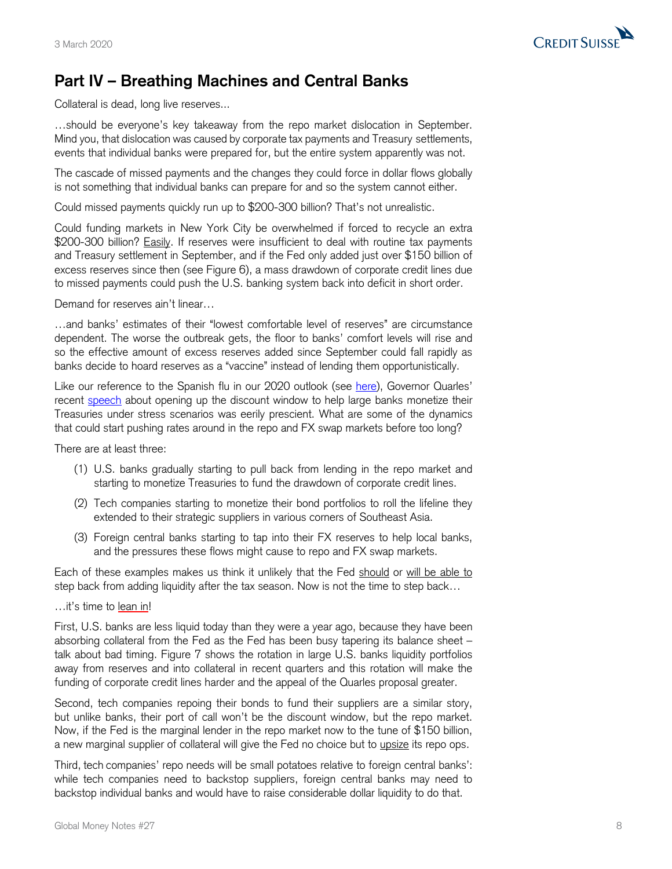

# **Part IV – Breathing Machines and Central Banks**

Collateral is dead, long live reserves...

…should be everyone's key takeaway from the repo market dislocation in September. Mind you, that dislocation was caused by corporate tax payments and Treasury settlements, events that individual banks were prepared for, but the entire system apparently was not.

The cascade of missed payments and the changes they could force in dollar flows globally is not something that individual banks can prepare for and so the system cannot either.

Could missed payments quickly run up to \$200-300 billion? That's not unrealistic.

Could funding markets in New York City be overwhelmed if forced to recycle an extra \$200-300 billion? **Easily**. If reserves were insufficient to deal with routine tax payments and Treasury settlement in September, and if the Fed only added just over \$150 billion of excess reserves since then (see Figure 6), a mass drawdown of corporate credit lines due to missed payments could push the U.S. banking system back into deficit in short order.

Demand for reserves ain't linear…

…and banks' estimates of their "lowest comfortable level of reserves" are circumstance dependent. The worse the outbreak gets, the floor to banks' comfort levels will rise and so the effective amount of excess reserves added since September could fall rapidly as banks decide to hoard reserves as a "vaccine" instead of lending them opportunistically.

Like our reference to the Spanish flu in our 2020 outlook (see [here\)](https://plus.credit-suisse.com/rpc4/ravDocView?docid=V7kg6U2AF-Jk6), Governor Quarles' recent [speech](https://www.federalreserve.gov/newsevents/speech/quarles20200206a.htm) about opening up the discount window to help large banks monetize their Treasuries under stress scenarios was eerily prescient. What are some of the dynamics that could start pushing rates around in the repo and FX swap markets before too long?

There are at least three:

- (1) U.S. banks gradually starting to pull back from lending in the repo market and starting to monetize Treasuries to fund the drawdown of corporate credit lines.
- (2) Tech companies starting to monetize their bond portfolios to roll the lifeline they extended to their strategic suppliers in various corners of Southeast Asia.
- (3) Foreign central banks starting to tap into their FX reserves to help local banks, and the pressures these flows might cause to repo and FX swap markets.

Each of these examples makes us think it unlikely that the Fed should or will be able to step back from adding liquidity after the tax season. Now is not the time to step back…

### …it's time to lean in!

First, U.S. banks are less liquid today than they were a year ago, because they have been absorbing collateral from the Fed as the Fed has been busy tapering its balance sheet – talk about bad timing. Figure 7 shows the rotation in large U.S. banks liquidity portfolios away from reserves and into collateral in recent quarters and this rotation will make the funding of corporate credit lines harder and the appeal of the Quarles proposal greater.

Second, tech companies repoing their bonds to fund their suppliers are a similar story, but unlike banks, their port of call won't be the discount window, but the repo market. Now, if the Fed is the marginal lender in the repo market now to the tune of \$150 billion, a new marginal supplier of collateral will give the Fed no choice but to upsize its repo ops.

Third, tech companies' repo needs will be small potatoes relative to foreign central banks': while tech companies need to backstop suppliers, foreign central banks may need to backstop individual banks and would have to raise considerable dollar liquidity to do that.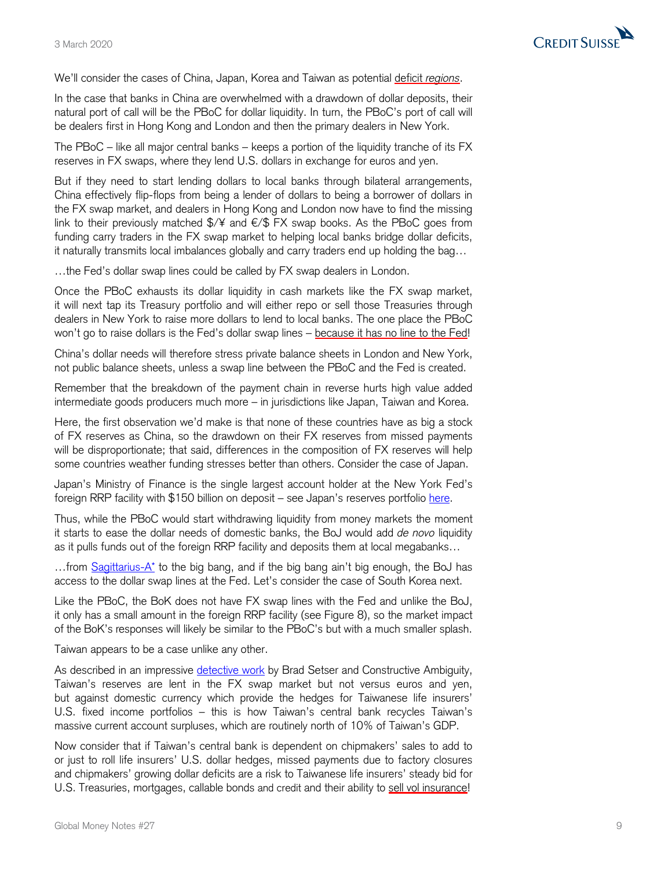

We'll consider the cases of China, Japan, Korea and Taiwan as potential deficit *regions*.

In the case that banks in China are overwhelmed with a drawdown of dollar deposits, their natural port of call will be the PBoC for dollar liquidity. In turn, the PBoC's port of call will be dealers first in Hong Kong and London and then the primary dealers in New York.

The PBoC – like all major central banks – keeps a portion of the liquidity tranche of its FX reserves in FX swaps, where they lend U.S. dollars in exchange for euros and yen.

But if they need to start lending dollars to local banks through bilateral arrangements, China effectively flip-flops from being a lender of dollars to being a borrower of dollars in the FX swap market, and dealers in Hong Kong and London now have to find the missing link to their previously matched  $\frac{1}{2}$  and  $\frac{1}{2}$  FX swap books. As the PBoC goes from funding carry traders in the FX swap market to helping local banks bridge dollar deficits, it naturally transmits local imbalances globally and carry traders end up holding the bag…

…the Fed's dollar swap lines could be called by FX swap dealers in London.

Once the PBoC exhausts its dollar liquidity in cash markets like the FX swap market, it will next tap its Treasury portfolio and will either repo or sell those Treasuries through dealers in New York to raise more dollars to lend to local banks. The one place the PBoC won't go to raise dollars is the Fed's dollar swap lines – because it has no line to the Fed!

China's dollar needs will therefore stress private balance sheets in London and New York, not public balance sheets, unless a swap line between the PBoC and the Fed is created.

Remember that the breakdown of the payment chain in reverse hurts high value added intermediate goods producers much more – in jurisdictions like Japan, Taiwan and Korea.

Here, the first observation we'd make is that none of these countries have as big a stock of FX reserves as China, so the drawdown on their FX reserves from missed payments will be disproportionate; that said, differences in the composition of FX reserves will help some countries weather funding stresses better than others. Consider the case of Japan.

Japan's Ministry of Finance is the single largest account holder at the New York Fed's foreign RRP facility with \$150 billion on deposit – see Japan's reserves portfolio [here.](https://www.mof.go.jp/english/international_policy/reference/official_reserve_assets/e0201.html)

Thus, while the PBoC would start withdrawing liquidity from money markets the moment it starts to ease the dollar needs of domestic banks, the BoJ would add *de novo* liquidity as it pulls funds out of the foreign RRP facility and deposits them at local megabanks…

...from  $S$  agittarius- $A^*$  to the big bang, and if the big bang ain't big enough, the BoJ has access to the dollar swap lines at the Fed. Let's consider the case of South Korea next.

Like the PBoC, the BoK does not have FX swap lines with the Fed and unlike the BoJ, it only has a small amount in the foreign RRP facility (see Figure 8), so the market impact of the BoK's responses will likely be similar to the PBoC's but with a much smaller splash.

Taiwan appears to be a case unlike any other.

As described in an impressive [detective work](https://www.cfr.org/blog/looking-mysterious-hedging-counterparty-taiwans-lifers) by Brad Setser and Constructive Ambiguity, Taiwan's reserves are lent in the FX swap market but not versus euros and yen, but against domestic currency which provide the hedges for Taiwanese life insurers' U.S. fixed income portfolios – this is how Taiwan's central bank recycles Taiwan's massive current account surpluses, which are routinely north of 10% of Taiwan's GDP.

Now consider that if Taiwan's central bank is dependent on chipmakers' sales to add to or just to roll life insurers' U.S. dollar hedges, missed payments due to factory closures and chipmakers' growing dollar deficits are a risk to Taiwanese life insurers' steady bid for U.S. Treasuries, mortgages, callable bonds and credit and their ability to sell vol insurance!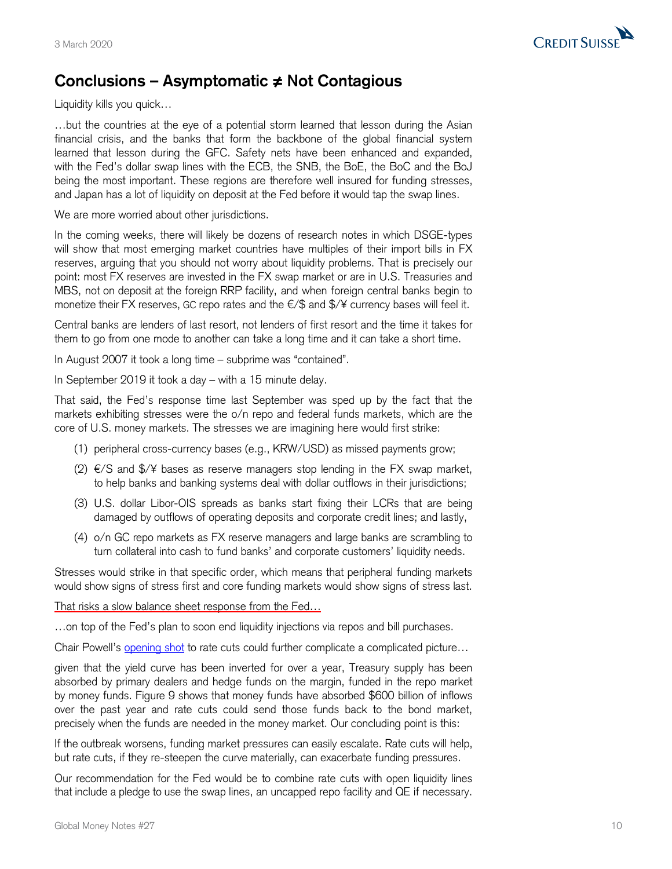

# **Conclusions – Asymptomatic ≠ Not Contagious**

Liquidity kills you quick…

…but the countries at the eye of a potential storm learned that lesson during the Asian financial crisis, and the banks that form the backbone of the global financial system learned that lesson during the GFC. Safety nets have been enhanced and expanded, with the Fed's dollar swap lines with the ECB, the SNB, the BoE, the BoC and the BoJ being the most important. These regions are therefore well insured for funding stresses, and Japan has a lot of liquidity on deposit at the Fed before it would tap the swap lines.

We are more worried about other jurisdictions.

In the coming weeks, there will likely be dozens of research notes in which DSGE-types will show that most emerging market countries have multiples of their import bills in FX reserves, arguing that you should not worry about liquidity problems. That is precisely our point: most FX reserves are invested in the FX swap market or are in U.S. Treasuries and MBS, not on deposit at the foreign RRP facility, and when foreign central banks begin to monetize their FX reserves, GC repo rates and the  $\epsilon$ /\$ and \$/¥ currency bases will feel it.

Central banks are lenders of last resort, not lenders of first resort and the time it takes for them to go from one mode to another can take a long time and it can take a short time.

In August 2007 it took a long time – subprime was "contained".

In September 2019 it took a day – with a 15 minute delay.

That said, the Fed's response time last September was sped up by the fact that the markets exhibiting stresses were the o/n repo and federal funds markets, which are the core of U.S. money markets. The stresses we are imagining here would first strike:

- (1) peripheral cross-currency bases (e.g., KRW/USD) as missed payments grow;
- (2)  $€/S$  and \$/¥ bases as reserve managers stop lending in the FX swap market, to help banks and banking systems deal with dollar outflows in their jurisdictions;
- (3) U.S. dollar Libor-OIS spreads as banks start fixing their LCRs that are being damaged by outflows of operating deposits and corporate credit lines; and lastly,
- (4) o/n GC repo markets as FX reserve managers and large banks are scrambling to turn collateral into cash to fund banks' and corporate customers' liquidity needs.

Stresses would strike in that specific order, which means that peripheral funding markets would show signs of stress first and core funding markets would show signs of stress last.

That risks a slow balance sheet response from the Fed…

…on top of the Fed's plan to soon end liquidity injections via repos and bill purchases.

Chair Powell's [opening shot](https://www.federalreserve.gov/newsevents/pressreleases/other20200228a.htm) to rate cuts could further complicate a complicated picture…

given that the yield curve has been inverted for over a year, Treasury supply has been absorbed by primary dealers and hedge funds on the margin, funded in the repo market by money funds. Figure 9 shows that money funds have absorbed \$600 billion of inflows over the past year and rate cuts could send those funds back to the bond market, precisely when the funds are needed in the money market. Our concluding point is this:

If the outbreak worsens, funding market pressures can easily escalate. Rate cuts will help, but rate cuts, if they re-steepen the curve materially, can exacerbate funding pressures.

Our recommendation for the Fed would be to combine rate cuts with open liquidity lines that include a pledge to use the swap lines, an uncapped repo facility and QE if necessary.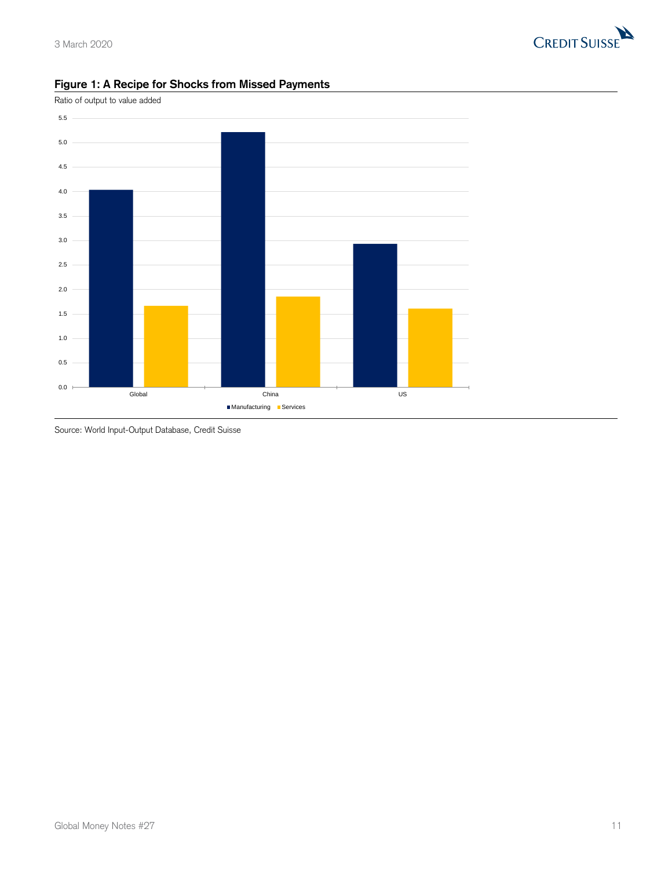



# **Figure 1: A Recipe for Shocks from Missed Payments**

Source: World Input-Output Database, Credit Suisse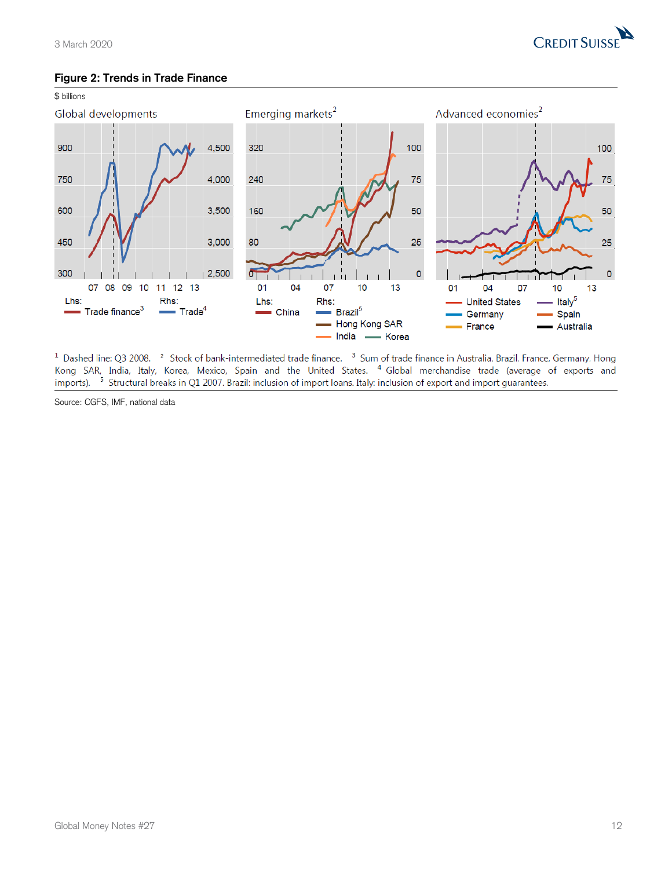

# **Figure 2: Trends in Trade Finance**



<sup>1</sup> Dashed line: Q3 2008. <sup>2</sup> Stock of bank-intermediated trade finance. <sup>3</sup> Sum of trade finance in Australia, Brazil, France, Germany, Hong Kong SAR, India, Italy, Korea, Mexico, Spain and the United States. 4 Global merchandise trade (average of exports and imports). 5 Structural breaks in Q1 2007. Brazil: inclusion of import loans. Italy: inclusion of export

Source: CGFS, IMF, national data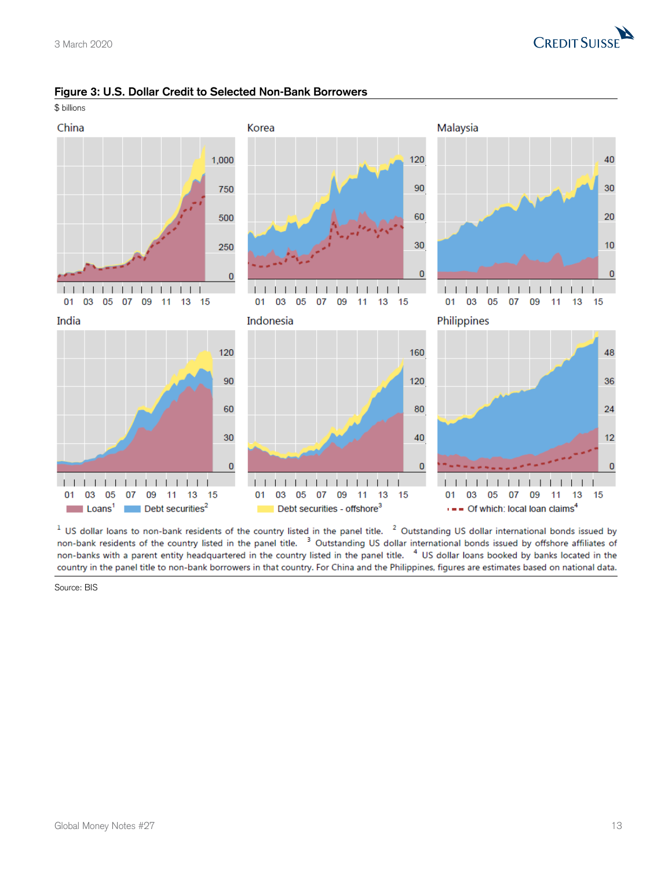







<sup>1</sup> US dollar loans to non-bank residents of the country listed in the panel title. <sup>2</sup> Outstanding US dollar international bonds issued by non-bank residents of the country listed in the panel title. <sup>3</sup> Outstanding US dollar international bonds issued by offshore affiliates of non-banks with a parent entity headquartered in the country listed in the panel title. <sup>4</sup> US dollar loans booked by banks located in the country in the panel title to non-bank borrowers in that country. For China and the Philippines, figures are estimates based on national data.

Source: BIS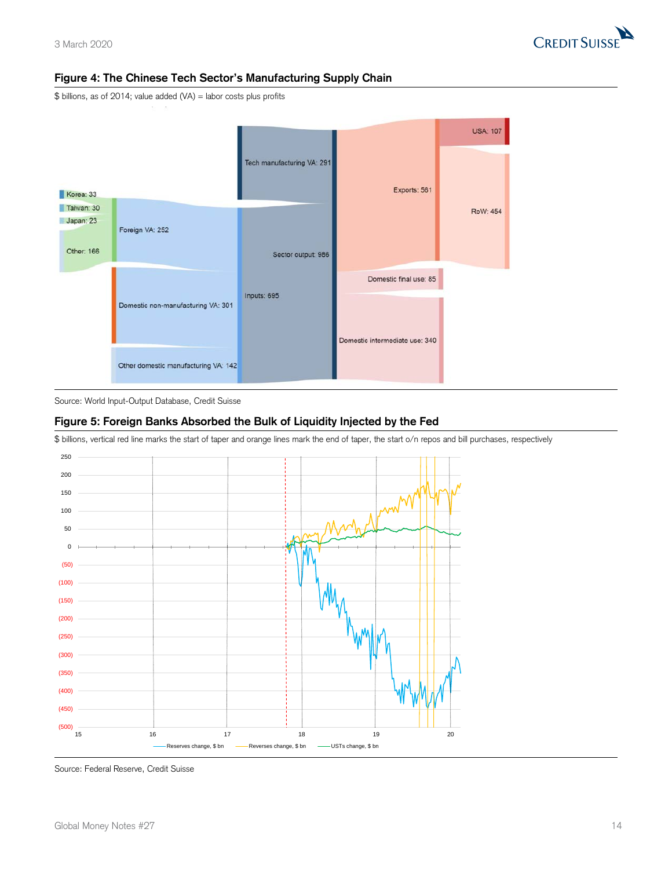

# **Figure 4: The Chinese Tech Sector's Manufacturing Supply Chain**

 $$$  billions, as of 2014; value added (VA) = labor costs plus profits



Source: World Input-Output Database, Credit Suisse

# **Figure 5: Foreign Banks Absorbed the Bulk of Liquidity Injected by the Fed**

\$ billions, vertical red line marks the start of taper and orange lines mark the end of taper, the start o/n repos and bill purchases, respectively



Source: Federal Reserve, Credit Suisse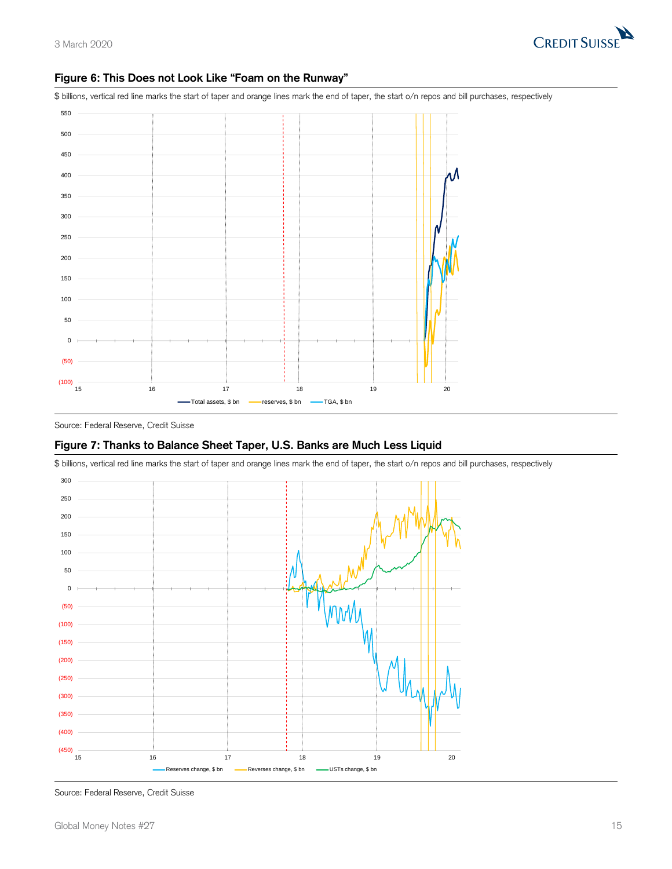

# **Figure 6: This Does not Look Like "Foam on the Runway"**

\$ billions, vertical red line marks the start of taper and orange lines mark the end of taper, the start o/n repos and bill purchases, respectively





### **Figure 7: Thanks to Balance Sheet Taper, U.S. Banks are Much Less Liquid**

\$ billions, vertical red line marks the start of taper and orange lines mark the end of taper, the start o/n repos and bill purchases, respectively



Source: Federal Reserve, Credit Suisse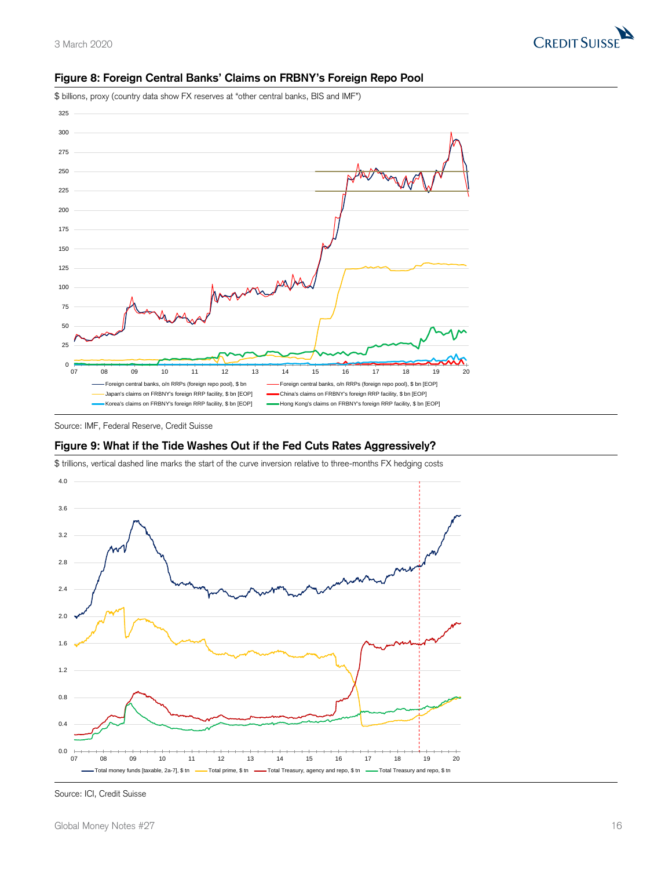

### **Figure 8: Foreign Central Banks' Claims on FRBNY's Foreign Repo Pool**

\$ billions, proxy (country data show FX reserves at "other central banks, BIS and IMF")



Source: IMF, Federal Reserve, Credit Suisse

# **Figure 9: What if the Tide Washes Out if the Fed Cuts Rates Aggressively?**



\$ trillions, vertical dashed line marks the start of the curve inversion relative to three-months FX hedging costs

Source: ICI, Credit Suisse